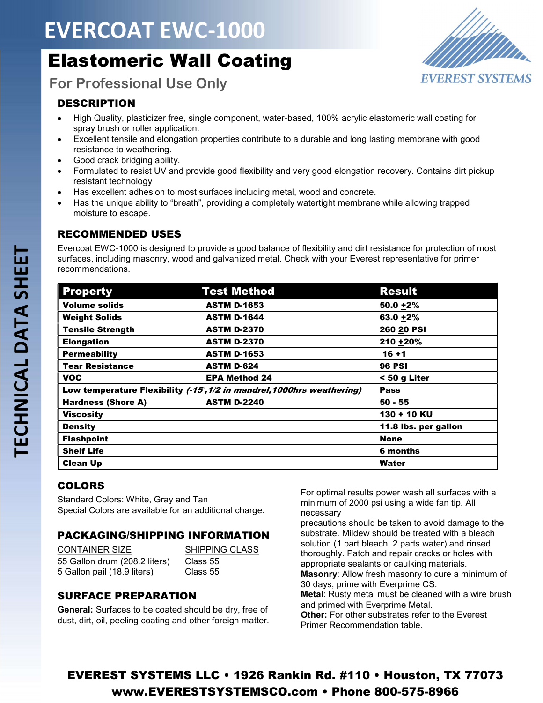# EVERCOAT EWC-1000

## Elastomeric Wall Coating



For Professional Use Only

#### **DESCRIPTION**

- High Quality, plasticizer free, single component, water-based, 100% acrylic elastomeric wall coating for spray brush or roller application.
- Excellent tensile and elongation properties contribute to a durable and long lasting membrane with good resistance to weathering.
- Good crack bridging ability.
- Formulated to resist UV and provide good flexibility and very good elongation recovery. Contains dirt pickup resistant technology
- Has excellent adhesion to most surfaces including metal, wood and concrete.
- Has the unique ability to "breath", providing a completely watertight membrane while allowing trapped moisture to escape.

#### RECOMMENDED USES

Evercoat EWC-1000 is designed to provide a good balance of flexibility and dirt resistance for protection of most surfaces, including masonry, wood and galvanized metal. Check with your Everest representative for primer recommendations.

| <b>Property</b>           | <b>Test Method</b>                                                    | <b>Result</b>        |
|---------------------------|-----------------------------------------------------------------------|----------------------|
| <b>Volume solids</b>      | <b>ASTM D-1653</b>                                                    | $50.0 + 2%$          |
| <b>Weight Solids</b>      | <b>ASTM D-1644</b>                                                    | $63.0 + 2%$          |
| <b>Tensile Strength</b>   | <b>ASTM D-2370</b>                                                    | 260 20 PSI           |
| <b>Elongation</b>         | <b>ASTM D-2370</b>                                                    | 210 + 20%            |
| <b>Permeability</b>       | <b>ASTM D-1653</b>                                                    | $16 + 1$             |
| <b>Tear Resistance</b>    | <b>ASTM D-624</b>                                                     | <b>96 PSI</b>        |
| <b>VOC</b>                | <b>EPA Method 24</b>                                                  | $< 50$ g Liter       |
|                           | Low temperature Flexibility (-15, 1/2 in mandrel, 1000hrs weathering) | <b>Pass</b>          |
| <b>Hardness (Shore A)</b> | <b>ASTM D-2240</b>                                                    | $50 - 55$            |
| <b>Viscosity</b>          |                                                                       | 130 + 10 KU          |
| <b>Density</b>            |                                                                       | 11.8 lbs. per gallon |
| <b>Flashpoint</b>         |                                                                       | <b>None</b>          |
| <b>Shelf Life</b>         |                                                                       | 6 months             |
| <b>Clean Up</b>           |                                                                       | Water                |

#### COLORS

Standard Colors: White, Gray and Tan Special Colors are available for an additional charge.

#### PACKAGING/SHIPPING INFORMATION

| <b>CONTAINER SIZE</b>         |
|-------------------------------|
| 55 Gallon drum (208.2 liters) |
| 5 Gallon pail (18.9 liters)   |

SHIPPING CLASS Class 55 Class 55

#### SURFACE PREPARATION

General: Surfaces to be coated should be dry, free of dust, dirt, oil, peeling coating and other foreign matter. For optimal results power wash all surfaces with a minimum of 2000 psi using a wide fan tip. All necessary

precautions should be taken to avoid damage to the substrate. Mildew should be treated with a bleach solution (1 part bleach, 2 parts water) and rinsed thoroughly. Patch and repair cracks or holes with appropriate sealants or caulking materials. Masonry: Allow fresh masonry to cure a minimum of 30 days, prime with Everprime CS. Metal: Rusty metal must be cleaned with a wire brush and primed with Everprime Metal. Other: For other substrates refer to the Everest Primer Recommendation table.

### EVEREST SYSTEMS LLC • 1926 Rankin Rd. #110 • Houston, TX 77073 www.EVERESTSYSTEMSCO.com • Phone 800-575-8966